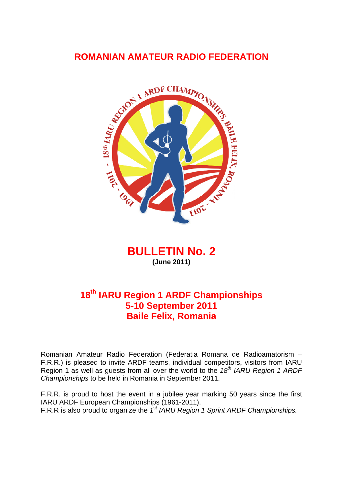# **ROMANIAN AMATEUR RADIO FEDERATION**



**BULLETIN No. 2 (June 2011)** 

# **18th IARU Region 1 ARDF Championships 5-10 September 2011 Baile Felix, Romania**

Romanian Amateur Radio Federation (Federatia Romana de Radioamatorism – F.R.R.) is pleased to invite ARDF teams, individual competitors, visitors from IARU Region 1 as well as guests from all over the world to the 18<sup>th</sup> IARU Region 1 ARDF *Championships* to be held in Romania in September 2011.

F.R.R. is proud to host the event in a jubilee year marking 50 years since the first IARU ARDF European Championships (1961-2011). F.R.R is also proud to organize the *1st IARU Region 1 Sprint ARDF Championships.*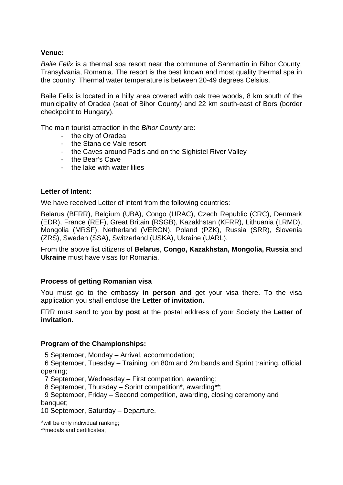## **Venue:**

*Baile Felix* is a thermal spa resort near the commune of Sanmartin in Bihor County, Transylvania, Romania. The resort is the best known and most quality thermal spa in the country. Thermal water temperature is between 20-49 degrees Celsius.

Baile Felix is located in a hilly area covered with oak tree woods, 8 km south of the municipality of Oradea (seat of Bihor County) and 22 km south-east of Bors (border checkpoint to Hungary).

The main tourist attraction in the *Bihor County* are:

- the city of Oradea
- the Stana de Vale resort
- the Caves around Padis and on the Sighistel River Valley
- the Bear's Cave
- the lake with water lilies

## **Letter of Intent:**

We have received Letter of intent from the following countries:

Belarus (BFRR), Belgium (UBA), Congo (URAC), Czech Republic (CRC), Denmark (EDR), France (REF), Great Britain (RSGB), Kazakhstan (KFRR), Lithuania (LRMD), Mongolia (MRSF), Netherland (VERON), Poland (PZK), Russia (SRR), Slovenia (ZRS), Sweden (SSA), Switzerland (USKA), Ukraine (UARL).

From the above list citizens of **Belarus**, **Congo, Kazakhstan, Mongolia, Russia** and **Ukraine** must have visas for Romania.

## **Process of getting Romanian visa**

You must go to the embassy **in person** and get your visa there. To the visa application you shall enclose the **Letter of invitation.** 

FRR must send to you **by post** at the postal address of your Society the **Letter of invitation.** 

## **Program of the Championships:**

5 September, Monday – Arrival, accommodation;

 6 September, Tuesday – Training on 80m and 2m bands and Sprint training, official opening;

7 September, Wednesday – First competition, awarding;

8 September, Thursday – Sprint competition\*, awarding\*\*;

 9 September, Friday – Second competition, awarding, closing ceremony and banquet:

10 September, Saturday – Departure.

\*will be only individual ranking;

\*\*medals and certificates;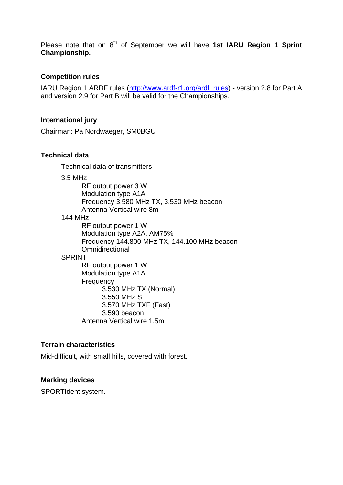Please note that on 8<sup>th</sup> of September we will have 1st IARU Region 1 Sprint **Championship.** 

## **Competition rules**

IARU Region 1 ARDF rules (http://www.ardf-r1.org/ardf\_rules) - version 2.8 for Part A and version 2.9 for Part B will be valid for the Championships.

#### **International jury**

Chairman: Pa Nordwaeger, SM0BGU

#### **Technical data**

Technical data of transmitters

3.5 MHz

RF output power 3 W Modulation type A1A Frequency 3.580 MHz TX, 3.530 MHz beacon Antenna Vertical wire 8m 144 MHz RF output power 1 W Modulation type A2A, AM75% Frequency 144.800 MHz TX, 144.100 MHz beacon **Omnidirectional SPRINT** RF output power 1 W Modulation type A1A **Frequency** 3.530 MHz TX (Normal) 3.550 MHz S 3.570 MHz TXF (Fast) 3.590 beacon Antenna Vertical wire 1,5m

## **Terrain characteristics**

Mid-difficult, with small hills, covered with forest.

#### **Marking devices**

SPORTIdent system.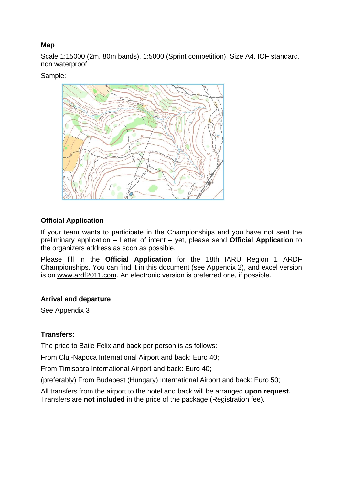## **Map**

Scale 1:15000 (2m, 80m bands), 1:5000 (Sprint competition), Size A4, IOF standard, non waterproof

Sample:



# **Official Application**

If your team wants to participate in the Championships and you have not sent the preliminary application – Letter of intent – yet, please send **Official Application** to the organizers address as soon as possible.

Please fill in the **Official Application** for the 18th IARU Region 1 ARDF Championships. You can find it in this document (see Appendix 2), and excel version is on www.ardf2011.com. An electronic version is preferred one, if possible.

## **Arrival and departure**

See Appendix 3

## **Transfers:**

The price to Baile Felix and back per person is as follows:

From Cluj-Napoca International Airport and back: Euro 40;

From Timisoara International Airport and back: Euro 40;

(preferably) From Budapest (Hungary) International Airport and back: Euro 50;

All transfers from the airport to the hotel and back will be arranged **upon request.**  Transfers are **not included** in the price of the package (Registration fee).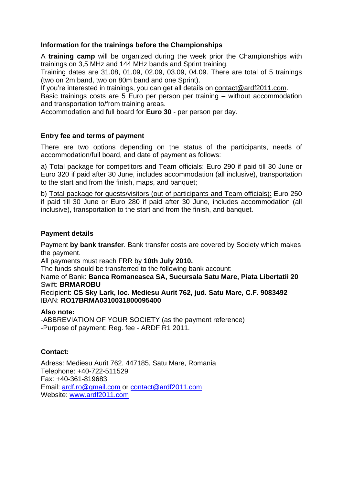## **Information for the trainings before the Championships**

A **training camp** will be organized during the week prior the Championships with trainings on 3,5 MHz and 144 MHz bands and Sprint training.

Training dates are 31.08, 01.09, 02.09, 03.09, 04.09. There are total of 5 trainings (two on 2m band, two on 80m band and one Sprint).

If you're interested in trainings, you can get all details on contact@ardf2011.com.

Basic trainings costs are 5 Euro per person per training – without accommodation and transportation to/from training areas.

Accommodation and full board for **Euro 30** - per person per day.

## **Entry fee and terms of payment**

There are two options depending on the status of the participants, needs of accommodation/full board, and date of payment as follows:

a) Total package for competitors and Team officials: Euro 290 if paid till 30 June or Euro 320 if paid after 30 June, includes accommodation (all inclusive), transportation to the start and from the finish, maps, and banquet;

b) Total package for guests/visitors (out of participants and Team officials): Euro 250 if paid till 30 June or Euro 280 if paid after 30 June, includes accommodation (all inclusive), transportation to the start and from the finish, and banquet.

## **Payment details**

Payment **by bank transfer**. Bank transfer costs are covered by Society which makes the payment.

All payments must reach FRR by **10th July 2010.** 

The funds should be transferred to the following bank account:

#### Name of Bank: **Banca Romaneasca SA, Sucursala Satu Mare, Piata Libertatii 20**  Swift: **BRMAROBU**

Recipient: **CS Sky Lark, loc. Mediesu Aurit 762, jud. Satu Mare, C.F. 9083492**  IBAN: **RO17BRMA0310031800095400** 

## **Also note:**

-ABBREVIATION OF YOUR SOCIETY (as the payment reference) -Purpose of payment: Reg. fee - ARDF R1 2011.

## **Contact:**

Adress: Mediesu Aurit 762, 447185, Satu Mare, Romania Telephone: +40-722-511529 Fax: +40-361-819683 Email: ardf.ro@gmail.com or contact@ardf2011.com Website: www.ardf2011.com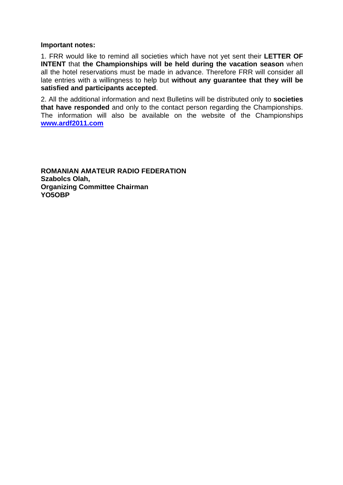#### **Important notes:**

1. FRR would like to remind all societies which have not yet sent their **LETTER OF INTENT** that **the Championships will be held during the vacation season** when all the hotel reservations must be made in advance. Therefore FRR will consider all late entries with a willingness to help but **without any guarantee that they will be satisfied and participants accepted**.

2. All the additional information and next Bulletins will be distributed only to **societies that have responded** and only to the contact person regarding the Championships. The information will also be available on the website of the Championships **www.ardf2011.com** 

**ROMANIAN AMATEUR RADIO FEDERATION Szabolcs Olah, Organizing Committee Chairman YO5OBP**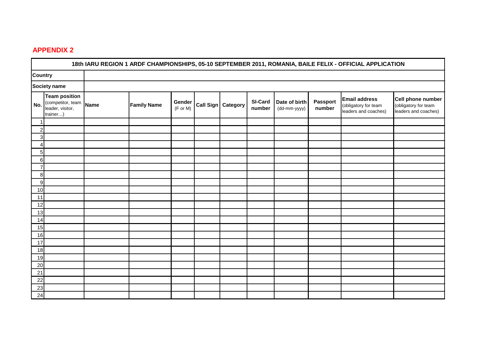## **APPENDIX 2**

|                                 | 18th IARU REGION 1 ARDF CHAMPIONSHIPS, 05-10 SEPTEMBER 2011, ROMANIA, BAILE FELIX - OFFICIAL APPLICATION |  |                    |                    |           |          |                          |                               |                           |                                                                      |                                                                   |
|---------------------------------|----------------------------------------------------------------------------------------------------------|--|--------------------|--------------------|-----------|----------|--------------------------|-------------------------------|---------------------------|----------------------------------------------------------------------|-------------------------------------------------------------------|
| <b>Country</b>                  |                                                                                                          |  |                    |                    |           |          |                          |                               |                           |                                                                      |                                                                   |
| Society name                    |                                                                                                          |  |                    |                    |           |          |                          |                               |                           |                                                                      |                                                                   |
| No.                             | <b>Team position</b><br>(competitor, team Name<br>leader, visitor,<br>trainer)                           |  | <b>Family Name</b> | Gender<br>(F or M) | Call Sign | Category | <b>SI-Card</b><br>number | Date of birth<br>(dd-mm-yyyy) | <b>Passport</b><br>number | <b>Email address</b><br>(obligatory for team<br>leaders and coaches) | Cell phone number<br>(obligatory for team<br>leaders and coaches) |
|                                 |                                                                                                          |  |                    |                    |           |          |                          |                               |                           |                                                                      |                                                                   |
| $\overline{2}$                  |                                                                                                          |  |                    |                    |           |          |                          |                               |                           |                                                                      |                                                                   |
| 3 <sup>1</sup>                  |                                                                                                          |  |                    |                    |           |          |                          |                               |                           |                                                                      |                                                                   |
| $\frac{4}{ }$<br>5 <sub>1</sub> |                                                                                                          |  |                    |                    |           |          |                          |                               |                           |                                                                      |                                                                   |
| $6 \mid$                        |                                                                                                          |  |                    |                    |           |          |                          |                               |                           |                                                                      |                                                                   |
| $\overline{7}$                  |                                                                                                          |  |                    |                    |           |          |                          |                               |                           |                                                                      |                                                                   |
| 8 <sup>1</sup>                  |                                                                                                          |  |                    |                    |           |          |                          |                               |                           |                                                                      |                                                                   |
| 9                               |                                                                                                          |  |                    |                    |           |          |                          |                               |                           |                                                                      |                                                                   |
| 10                              |                                                                                                          |  |                    |                    |           |          |                          |                               |                           |                                                                      |                                                                   |
| 11                              |                                                                                                          |  |                    |                    |           |          |                          |                               |                           |                                                                      |                                                                   |
| 12                              |                                                                                                          |  |                    |                    |           |          |                          |                               |                           |                                                                      |                                                                   |
| 13                              |                                                                                                          |  |                    |                    |           |          |                          |                               |                           |                                                                      |                                                                   |
| 14                              |                                                                                                          |  |                    |                    |           |          |                          |                               |                           |                                                                      |                                                                   |
| 15                              |                                                                                                          |  |                    |                    |           |          |                          |                               |                           |                                                                      |                                                                   |
| 16                              |                                                                                                          |  |                    |                    |           |          |                          |                               |                           |                                                                      |                                                                   |
| 17                              |                                                                                                          |  |                    |                    |           |          |                          |                               |                           |                                                                      |                                                                   |
| 18<br>19                        |                                                                                                          |  |                    |                    |           |          |                          |                               |                           |                                                                      |                                                                   |
| 20                              |                                                                                                          |  |                    |                    |           |          |                          |                               |                           |                                                                      |                                                                   |
| 21                              |                                                                                                          |  |                    |                    |           |          |                          |                               |                           |                                                                      |                                                                   |
| 22                              |                                                                                                          |  |                    |                    |           |          |                          |                               |                           |                                                                      |                                                                   |
| 23                              |                                                                                                          |  |                    |                    |           |          |                          |                               |                           |                                                                      |                                                                   |
| 24                              |                                                                                                          |  |                    |                    |           |          |                          |                               |                           |                                                                      |                                                                   |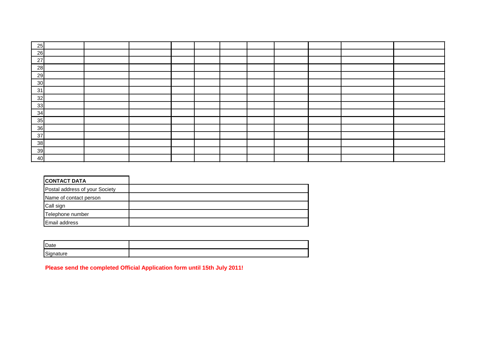| 25      |  |  |  |  |  |  |
|---------|--|--|--|--|--|--|
| 26<br>- |  |  |  |  |  |  |
| 27      |  |  |  |  |  |  |
| 28      |  |  |  |  |  |  |
| 29      |  |  |  |  |  |  |
| 30      |  |  |  |  |  |  |
| 31      |  |  |  |  |  |  |
| 32      |  |  |  |  |  |  |
| 33      |  |  |  |  |  |  |
| 34      |  |  |  |  |  |  |
| 35      |  |  |  |  |  |  |
| 36      |  |  |  |  |  |  |
| 37      |  |  |  |  |  |  |
| 38<br>- |  |  |  |  |  |  |
| 39      |  |  |  |  |  |  |
| 40      |  |  |  |  |  |  |

| <b>CONTACT DATA</b>            |  |
|--------------------------------|--|
| Postal address of your Society |  |
| Name of contact person         |  |
| Call sign                      |  |
| Telephone number               |  |
| <b>Email address</b>           |  |

| Date      |  |
|-----------|--|
| Signature |  |

**Please send the completed Official Application form until 15th July 2011!**